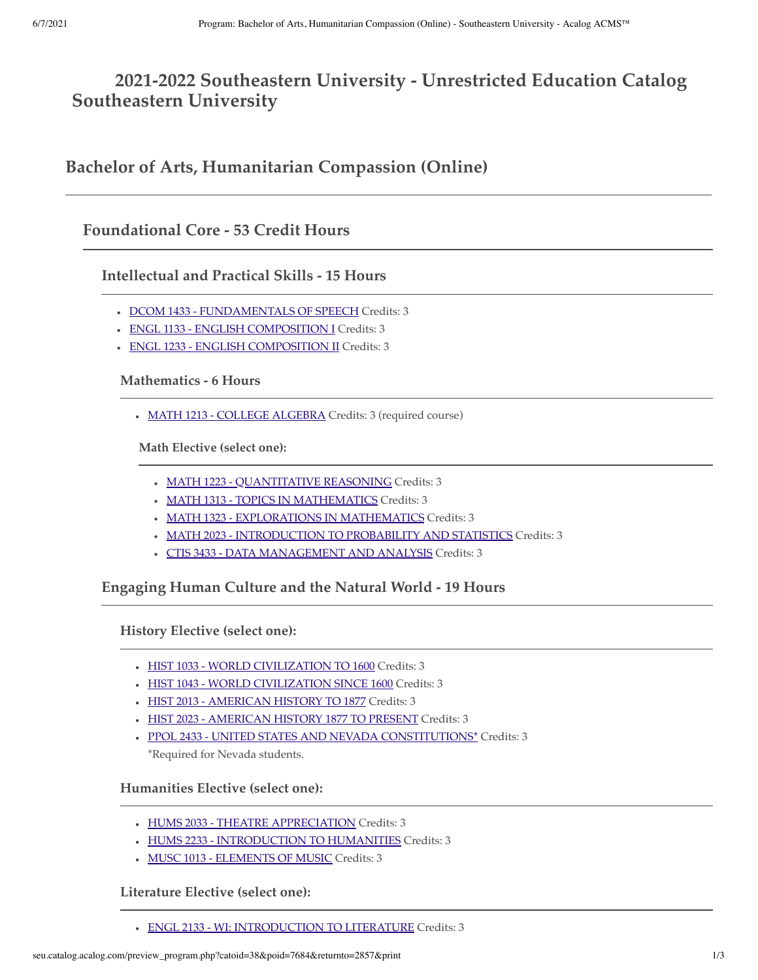# **2021-2022 Southeastern University - Unrestricted Education Catalog Southeastern University**

**Bachelor of Arts, Humanitarian Compassion (Online)**

### **Foundational Core - 53 Credit Hours**

**Intellectual and Practical Skills - 15 Hours**

- DCOM 1433 FUNDAMENTALS OF SPEECH Credits: 3
- ENGL 1133 ENGLISH COMPOSITION I Credits: 3
- ENGL 1233 ENGLISH COMPOSITION II Credits: 3

#### **Mathematics - 6 Hours**

• MATH 1213 - COLLEGE ALGEBRA Credits: 3 (required course)

**Math Elective (select one):**

- MATH 1223 QUANTITATIVE REASONING Credits: 3
- MATH 1313 TOPICS IN MATHEMATICS Credits: 3
- MATH 1323 EXPLORATIONS IN MATHEMATICS Credits: 3
- MATH 2023 INTRODUCTION TO PROBABILITY AND STATISTICS Credits: 3
- CTIS 3433 DATA MANAGEMENT AND ANALYSIS Credits: 3

**Engaging Human Culture and the Natural World - 19 Hours**

**History Elective (select one):**

- HIST 1033 WORLD CIVILIZATION TO 1600 Credits: 3
- HIST 1043 WORLD CIVILIZATION SINCE 1600 Credits: 3
- HIST 2013 AMERICAN HISTORY TO 1877 Credits: 3
- HIST 2023 AMERICAN HISTORY 1877 TO PRESENT Credits: 3
- PPOL 2433 UNITED STATES AND NEVADA CONSTITUTIONS\* Credits: 3 \*Required for Nevada students.

#### **Humanities Elective (select one):**

- HUMS 2033 THEATRE APPRECIATION Credits: 3
- HUMS 2233 INTRODUCTION TO HUMANITIES Credits: 3
- MUSC 1013 ELEMENTS OF MUSIC Credits: 3

#### **Literature Elective (select one):**

ENGL 2133 - WI: INTRODUCTION TO LITERATURE Credits: 3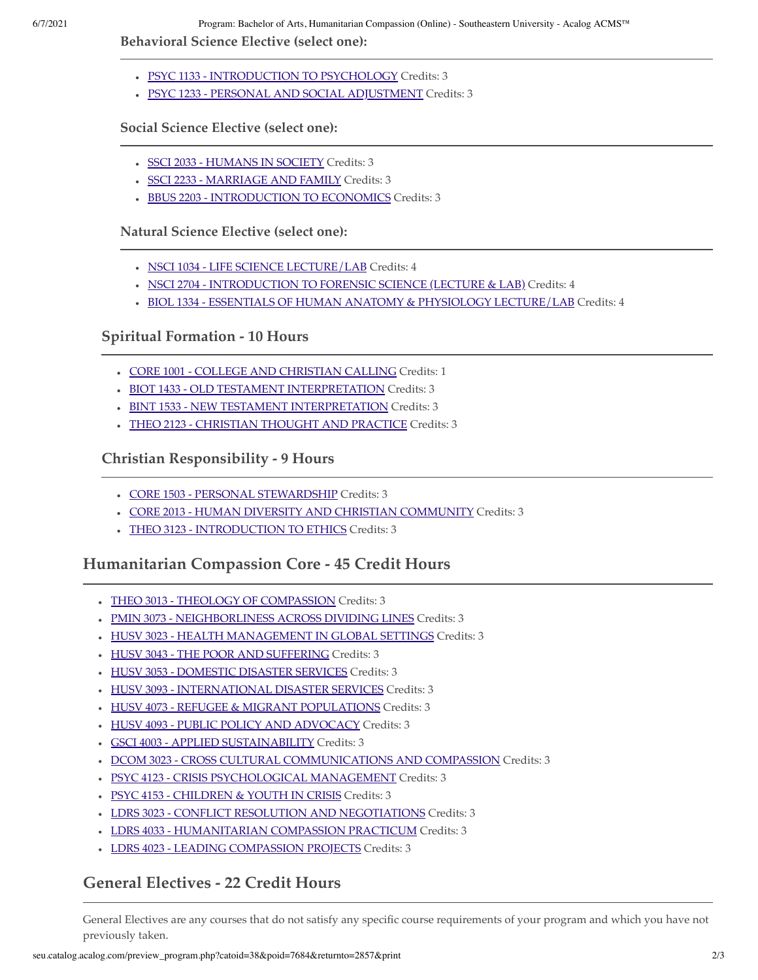6/7/2021 Program: Bachelor of Arts, Humanitarian Compassion (Online) - Southeastern University - Acalog ACMS™

**Behavioral Science Elective (select one):**

- PSYC 1133 INTRODUCTION TO PSYCHOLOGY Credits: 3
- PSYC 1233 PERSONAL AND SOCIAL ADJUSTMENT Credits: 3

**Social Science Elective (select one):**

- SSCI 2033 HUMANS IN SOCIETY Credits: 3
- SSCI 2233 MARRIAGE AND FAMILY Credits: 3
- **BBUS 2203 INTRODUCTION TO ECONOMICS Credits: 3**

**Natural Science Elective (select one):**

- NSCI 1034 LIFE SCIENCE LECTURE/LAB Credits: 4
- . NSCI 2704 INTRODUCTION TO FORENSIC SCIENCE (LECTURE & LAB) Credits: 4
- BIOL 1334 ESSENTIALS OF HUMAN ANATOMY & PHYSIOLOGY LECTURE/LAB Credits: 4

### **Spiritual Formation - 10 Hours**

- CORE 1001 COLLEGE AND CHRISTIAN CALLING Credits: 1
- BIOT 1433 OLD TESTAMENT INTERPRETATION Credits: 3
- BINT 1533 NEW TESTAMENT INTERPRETATION Credits: 3
- THEO 2123 CHRISTIAN THOUGHT AND PRACTICE Credits: 3

**Christian Responsibility - 9 Hours**

- CORE 1503 PERSONAL STEWARDSHIP Credits: 3
- CORE 2013 HUMAN DIVERSITY AND CHRISTIAN COMMUNITY Credits: 3
- THEO 3123 INTRODUCTION TO ETHICS Credits: 3

### **Humanitarian Compassion Core - 45 Credit Hours**

- THEO 3013 THEOLOGY OF COMPASSION Credits: 3
- PMIN 3073 NEIGHBORLINESS ACROSS DIVIDING LINES Credits: 3
- $\bullet$  HUSV 3023 HEALTH MANAGEMENT IN GLOBAL SETTINGS Credits: 3
- HUSV 3043 THE POOR AND SUFFERING Credits: 3
- HUSV 3053 DOMESTIC DISASTER SERVICES Credits: 3
- HUSV 3093 INTERNATIONAL DISASTER SERVICES Credits: 3
- HUSV 4073 REFUGEE & MIGRANT POPULATIONS Credits: 3
- HUSV 4093 PUBLIC POLICY AND ADVOCACY Credits: 3
- GSCI 4003 APPLIED SUSTAINABILITY Credits: 3
- . DCOM 3023 CROSS CULTURAL COMMUNICATIONS AND COMPASSION Credits: 3
- PSYC 4123 CRISIS PSYCHOLOGICAL MANAGEMENT Credits: 3
- . PSYC 4153 CHILDREN & YOUTH IN CRISIS Credits: 3
- LDRS 3023 CONFLICT RESOLUTION AND NEGOTIATIONS Credits: 3
- LDRS 4033 HUMANITARIAN COMPASSION PRACTICUM Credits: 3
- LDRS 4023 LEADING COMPASSION PROJECTS Credits: 3

# **General Electives - 22 Credit Hours**

General Electives are any courses that do not satisfy any specific course requirements of your program and which you have not previously taken.